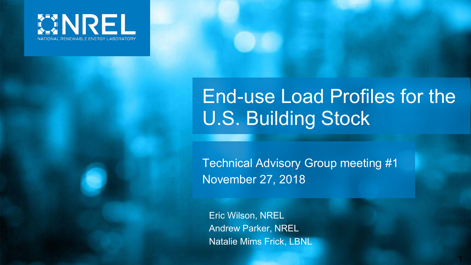

### End-use Load Profiles for the U.S. Building Stock

1

Technical Advisory Group meeting #1 November 27, 2018

Eric Wilson, NREL Andrew Parker, NREL Natalie Mims Frick, LBNL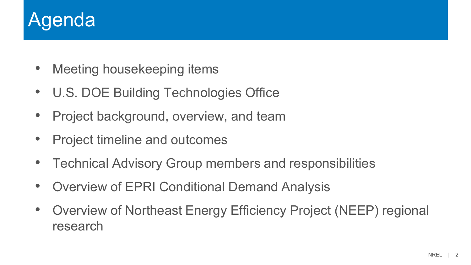### Agenda

- Meeting housekeeping items
- U.S. DOE Building Technologies Office
- Project background, overview, and team
- Project timeline and outcomes
- Technical Advisory Group members and responsibilities
- Overview of EPRI Conditional Demand Analysis
- Overview of Northeast Energy Efficiency Project (NEEP) regional research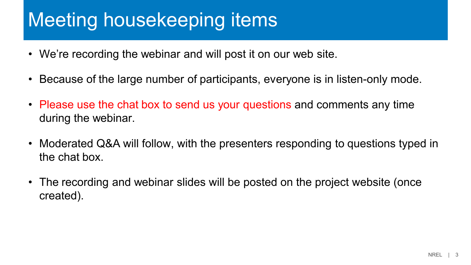### Meeting housekeeping items

- We're recording the webinar and will post it on our web site.
- Because of the large number of participants, everyone is in listen-only mode.
- Please use the chat box to send us your questions and comments any time during the webinar.
- Moderated Q&A will follow, with the presenters responding to questions typed in the chat box.
- The recording and webinar slides will be posted on the project website (once created).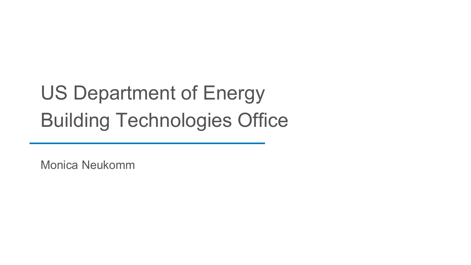# US Department of Energy Building Technologies Office

Monica Neukomm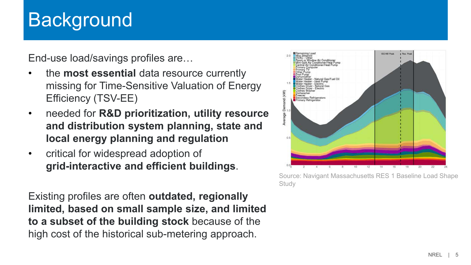### **Background**

End-use load/savings profiles are…

- the **most essential** data resource currently missing for Time-Sensitive Valuation of Energy Efficiency (TSV-EE)
- needed for **R&D prioritization, utility resource and distribution system planning, state and local energy planning and regulation**
- critical for widespread adoption of **grid-interactive and efficient buildings**.

Existing profiles are often **outdated, regionally limited, based on small sample size, and limited to a subset of the building stock** because of the high cost of the historical sub-metering approach.



Source: Navigant Massachusetts RES 1 Baseline Load Shape **Study**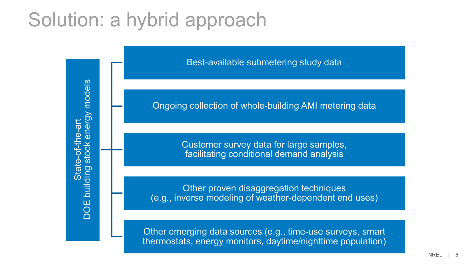### Solution: a hybrid approach



Best-available submetering study data

Ongoing collection of whole-building AMI metering data

Customer survey data for large samples, facilitating conditional demand analysis

Other proven disaggregation techniques (e.g., inverse modeling of weather-dependent end uses)

Other emerging data sources (e.g., time-use surveys, smart thermostats, energy monitors, daytime/nighttime population)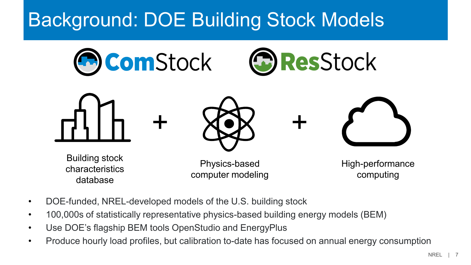### Background: DOE Building Stock Models



- DOE-funded, NREL-developed models of the U.S. building stock
- 100,000s of statistically representative physics-based building energy models (BEM)
- Use DOE's flagship BEM tools OpenStudio and EnergyPlus
- Produce hourly load profiles, but calibration to-date has focused on annual energy consumption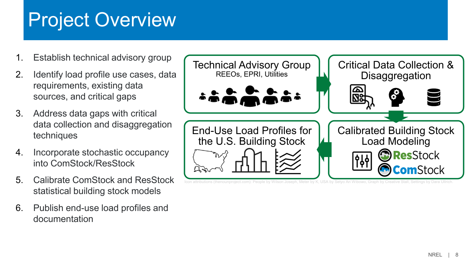### Project Overview

- 1. Establish technical advisory group
- 2. Identify load profile use cases, data requirements, existing data sources, and critical gaps
- 3. Address data gaps with critical data collection and disaggregation techniques
- 4. Incorporate stochastic occupancy into ComStock/ResStock
- 5. Calibrate ComStock and ResStock statistical building stock models
- 6. Publish end-use load profiles and documentation

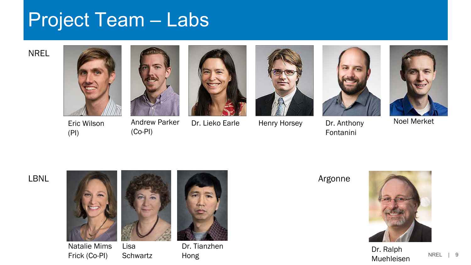### Project Team – Labs

NREL



Eric Wilson (PI)



(Co-PI)





Dr. Lieko Earle Henry Horsey Dr. Anthony





Fontanini



Noel Merket



Natalie Mims Frick (Co-PI)



Dr. Tianzhen Dr. Hanzhen<br>Hong de Bro-C'hant ar bro-C'hant ar bro-C'hant ar Dr. Ralph<br>Muebleise



Muehleisen

NREL | 9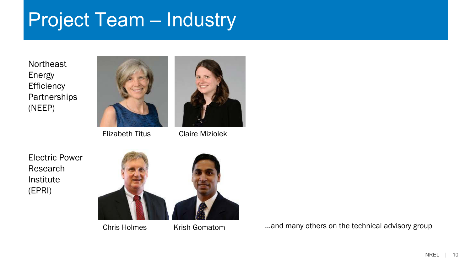### Project Team – Industry

**Northeast** Energy **Efficiency Partnerships** (NEEP)



Elizabeth Titus Claire Miziolek



Electric Power Research Institute (EPRI)



Chris Holmes Krish Gomatom

…and many others on the technical advisory group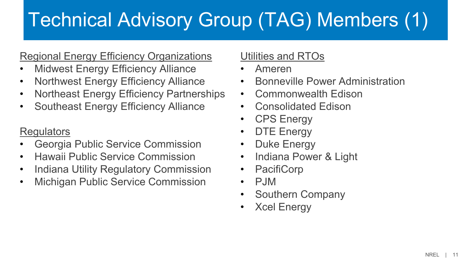## Technical Advisory Group (TAG) Members (1)

#### Regional Energy Efficiency Organizations

- **Midwest Energy Efficiency Alliance**
- Northwest Energy Efficiency Alliance
- Northeast Energy Efficiency Partnerships
- Southeast Energy Efficiency Alliance

#### **Regulators**

- Georgia Public Service Commission
- Hawaii Public Service Commission
- Indiana Utility Regulatory Commission
- Michigan Public Service Commission

### Utilities and RTOs

- Ameren
- Bonneville Power Administration
- Commonwealth Edison
- Consolidated Edison
- CPS Energy
- DTE Energy
- Duke Energy
- Indiana Power & Light
- PacifiCorp
- PJM
- Southern Company
- Xcel Energy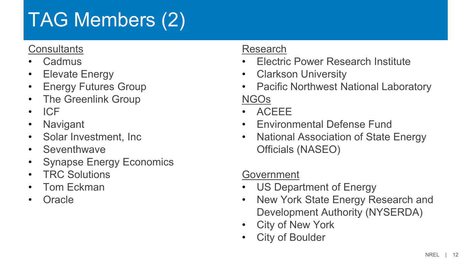## TAG Members (2)

#### **Consultants**

- Cadmus
- Elevate Energy
- Energy Futures Group
- The Greenlink Group
- ICF
- Navigant
- Solar Investment, Inc
- Seventhwave
- Synapse Energy Economics
- TRC Solutions
- Tom Eckman
- Oracle

#### Research

- Electric Power Research Institute
- Clarkson University
- Pacific Northwest National Laboratory NGOs
- ACEEE
- Environmental Defense Fund
- National Association of State Energy Officials (NASEO)

#### Government

- US Department of Energy
- New York State Energy Research and Development Authority (NYSERDA)
- City of New York
- City of Boulder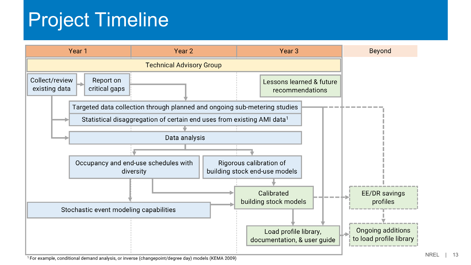### Project Timeline



<sup>1</sup> For example, conditional demand analysis, or inverse (changepoint/degree day) models (KEMA 2009)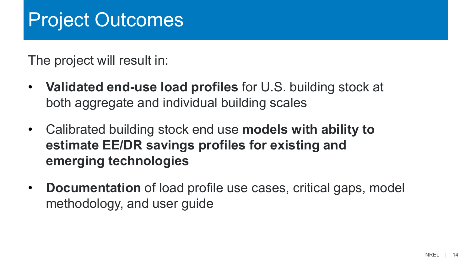### Project Outcomes

The project will result in:

- **Validated end-use load profiles** for U.S. building stock at both aggregate and individual building scales
- Calibrated building stock end use **models with ability to estimate EE/DR savings profiles for existing and emerging technologies**
- **Documentation** of load profile use cases, critical gaps, model methodology, and user guide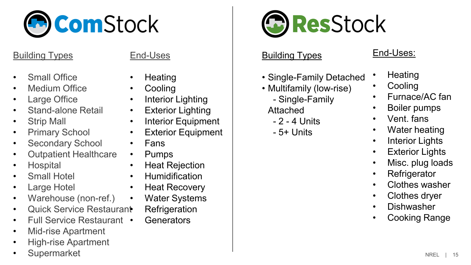

#### Building Types

- **Small Office**
- Medium Office
- Large Office
- Stand-alone Retail
- Strip Mall
- Primary School
- Secondary School
- Outpatient Healthcare
- Hospital
- **Small Hotel**
- **Large Hotel**
- Warehouse (non-ref.)
- Quick Service Restaurant
- Full Service Restaurant
- Mid-rise Apartment
- High-rise Apartment
- **Supermarket**

#### End-Uses

- **Heating**
- Cooling
- Interior Lighting
- Exterior Lighting
- Interior Equipment
- Exterior Equipment
- Fans
- Pumps
- Heat Rejection
- Humidification
- Heat Recovery
- Water Systems
	- **Refrigeration**
	- Generators



#### Building Types

- Single-Family Detached
- Multifamily (low-rise)
	- Single-Family
	- Attached
		- 2 4 Units
	- 5+ Units

#### End-Uses:

- **Heating**
- **Cooling**
- Furnace/AC fan
- Boiler pumps
- Vent. fans
- Water heating
- Interior Lights
- Exterior Lights
- Misc. plug loads
- Refrigerator
- Clothes washer
- Clothes dryer
- Dishwasher
- Cooking Range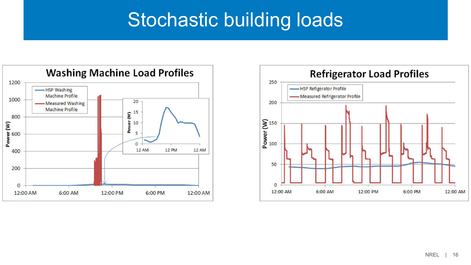### Stochastic building loads



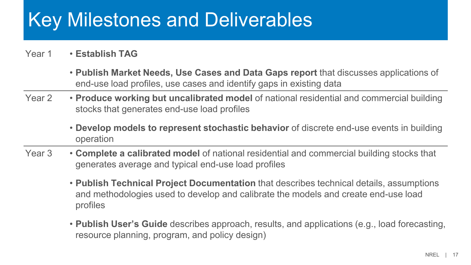### Key Milestones and Deliverables

#### Year 1 • **Establish TAG**

- **Publish Market Needs, Use Cases and Data Gaps report** that discusses applications of end-use load profiles, use cases and identify gaps in existing data
- Year 2 **Produce working but uncalibrated model** of national residential and commercial building stocks that generates end-use load profiles
	- **Develop models to represent stochastic behavior** of discrete end-use events in building operation
- Year 3 **Complete a calibrated model** of national residential and commercial building stocks that generates average and typical end-use load profiles
	- **Publish Technical Project Documentation** that describes technical details, assumptions and methodologies used to develop and calibrate the models and create end-use load profiles
	- **Publish User's Guide** describes approach, results, and applications (e.g., load forecasting, resource planning, program, and policy design)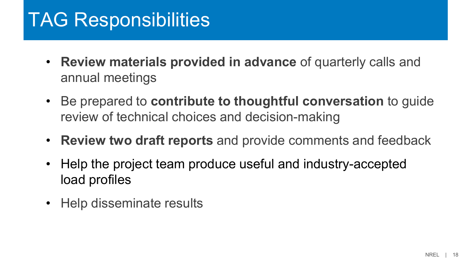### TAG Responsibilities

- **Review materials provided in advance** of quarterly calls and annual meetings
- Be prepared to **contribute to thoughtful conversation** to guide review of technical choices and decision-making
- **Review two draft reports** and provide comments and feedback
- Help the project team produce useful and industry-accepted load profiles
- Help disseminate results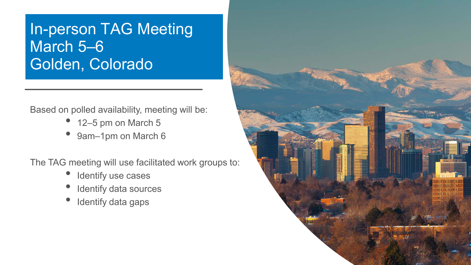### In-person TAG Meeting March 5–6 Golden, Colorado

Based on polled availability, meeting will be:

- 12–5 pm on March 5
- 9am-1pm on March 6

The TAG meeting will use facilitated work groups to:

- Identify use cases
- Identify data sources
- Identify data gaps

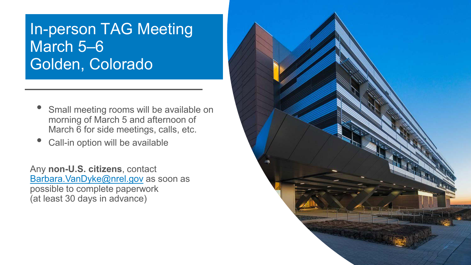### In-person TAG Meeting March 5–6 Golden, Colorado

- Small meeting rooms will be available on morning of March 5 and afternoon of March  $\overline{6}$  for side meetings, calls, etc.
- Call-in option will be available

Any **non-U.S. citizens**, contact [Barbara.VanDyke@nrel.gov](mailto:Barbara.VanDyke@nrel.gov) as soon as possible to complete paperwork (at least 30 days in advance)

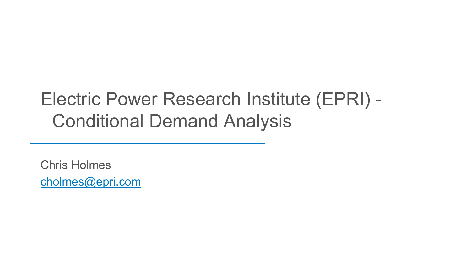### Electric Power Research Institute (EPRI) - Conditional Demand Analysis

Chris Holmes [cholmes@epri.com](mailto:cholmes@epri.com)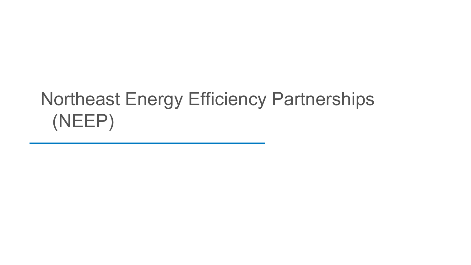### Northeast Energy Efficiency Partnerships (NEEP)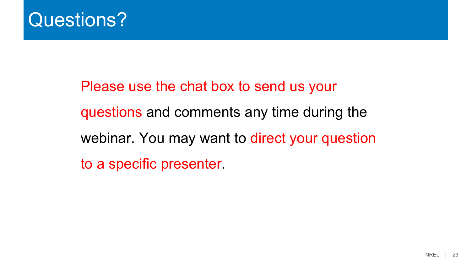

Please use the chat box to send us your questions and comments any time during the webinar. You may want to direct your question to a specific presenter.